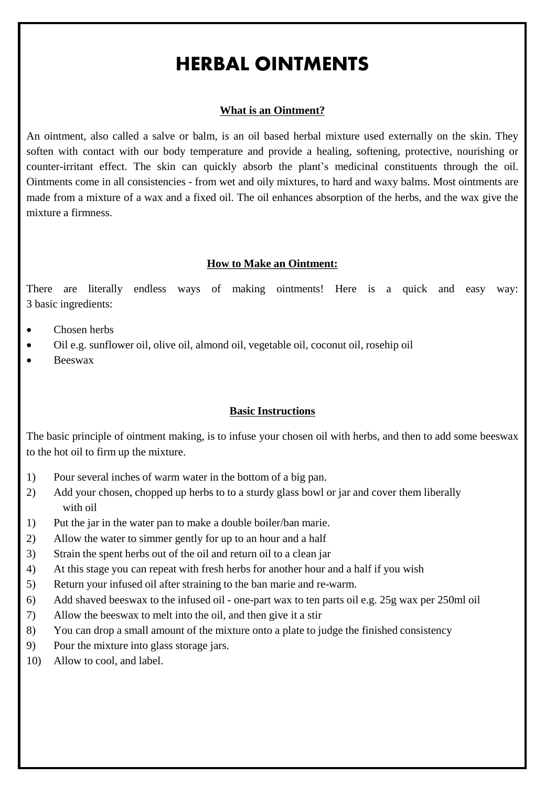# HERBAL OINTMENTS

#### **What is an Ointment?**

An ointment, also called a salve or balm, is an oil based herbal mixture used externally on the skin. They soften with contact with our body temperature and provide a healing, softening, protective, nourishing or counter-irritant effect. The skin can quickly absorb the plant's medicinal constituents through the oil. Ointments come in all consistencies - from wet and oily mixtures, to hard and waxy balms. Most ointments are made from a mixture of a wax and a fixed oil. The oil enhances absorption of the herbs, and the wax give the mixture a firmness.

#### **How to Make an Ointment:**

There are literally endless ways of making ointments! Here is a quick and easy way: 3 basic ingredients:

- Chosen herbs
- Oil e.g. sunflower oil, olive oil, almond oil, vegetable oil, coconut oil, rosehip oil
- Beeswax

#### **Basic Instructions**

The basic principle of ointment making, is to infuse your chosen oil with herbs, and then to add some beeswax to the hot oil to firm up the mixture.

- 1) Pour several inches of warm water in the bottom of a big pan.
- 2) Add your chosen, chopped up herbs to to a sturdy glass bowl or jar and cover them liberally with oil
- 1) Put the jar in the water pan to make a double boiler/ban marie.
- 2) Allow the water to simmer gently for up to an hour and a half
- 3) Strain the spent herbs out of the oil and return oil to a clean jar
- 4) At this stage you can repeat with fresh herbs for another hour and a half if you wish
- 5) Return your infused oil after straining to the ban marie and re-warm.
- 6) Add shaved beeswax to the infused oil one-part wax to ten parts oil e.g. 25g wax per 250ml oil
- 7) Allow the beeswax to melt into the oil, and then give it a stir
- 8) You can drop a small amount of the mixture onto a plate to judge the finished consistency
- 9) Pour the mixture into glass storage jars.
- 10) Allow to cool, and label.